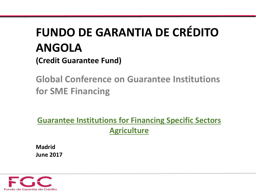# **FUNDO DE GARANTIA DE CRÉDITO ANGOLA**

**(Credit Guarantee Fund)**

**Global Conference on Guarantee Institutions for SME Financing**

**Guarantee Institutions for Financing Specific Sectors Agriculture**

**Madrid June 2017**

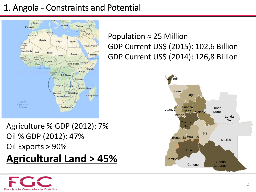## 1. Angola - Constraints and Potential



Agriculture % GDP (2012): 7% Oil % GDP (2012): 47% Oil Exports > 90% **Agricultural Land > 45%**



Population ≈ 25 Million GDP Current US\$ (2015): 102,6 Billion GDP Current US\$ (2014): 126,8 Billion

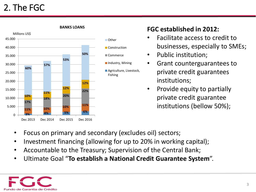## 2. The FGC



#### **BANKS LOANS**

#### ■ Other **■** Construction

■ Commerce

- ■Industry, Mining
- Agriculture, Livestock, Fishing

#### **FGC established in 2012:**

- Facilitate access to credit to businesses, especially to SMEs;
- Public institution;
- Grant counterguarantees to private credit guarantees institutions;
- Provide equity to partially private credit guarantee institutions (bellow 50%);
- Focus on primary and secondary (excludes oil) sectors;
- Investment financing (allowing for up to 20% in working capital);
- Accountable to the Treasury; Supervision of the Central Bank;
- Ultimate Goal "**To establish a National Credit Guarantee System**".

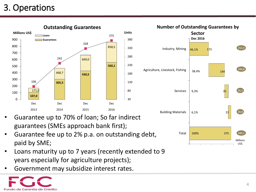## 3. Operations

**Outstanding Guarantees**



- Guarantee up to 70% of loan; So far indirect guarantees (SMEs approach bank first);
- Guarantee fee up to 2% p.a. on outstanding debt, paid by SME;
- Loans maturity up to 7 years (recently extended to 9 years especially for agriculture projects);
- Government may subsidize interest rates.



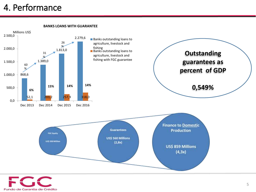### 4. Performance

**BANKS LOANS WITH GUARANTEE**

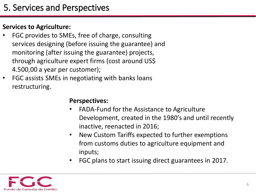### **Services to Agriculture:**

- FGC provides to SMEs, free of charge, consulting services designing (before issuing the guarantee) and monitoring (after issuing the guarantee) projects, through agriculture expert firms (cost around US\$ 4.500,00 a year per customer);
- FGC assists SMEs in negotiating with banks loans restructuring.

#### **Perspectives:**

- FADA-Fund for the Assistance to Agriculture Development, created in the 1980's and until recently inactive, reenacted in 2016;
- New Custom Tariffs expected to further exemptions from customs duties to agriculture equipment and inputs;
- FGC plans to start issuing direct guarantees in 2017.